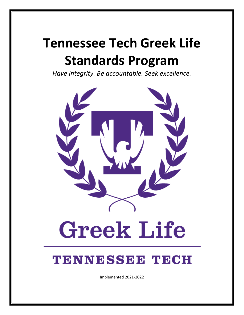# **Tennessee Tech Greek Life Standards Program**

*Have integrity. Be accountable. Seek excellence.*



# **TENNESSEE TECH**

Implemented 2021-2022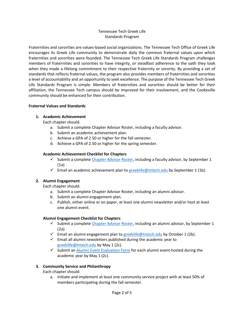#### Tennessee Tech Greek Life Standards Program

Fraternities and sororities are values-based social organizations. The Tennessee Tech Office of Greek Life encourages its Greek Life community to demonstrate daily the common fraternal values upon which fraternities and sororities were founded. The Tennessee Tech Greek Life Standards Program challenges members of fraternities and sororities to have integrity, or steadfast adherence to the oath they took when they made a lifelong commitment to their respective fraternity or sorority. By providing a set of standards that reflects fraternal values, the program also provides members of fraternities and sororities a level of accountability and an opportunity to seek excellence. The purpose of the Tennessee Tech Greek Life Standards Program is simple: Members of fraternities and sororities should be better for their affiliation, the Tennessee Tech campus should be improved for their involvement, and the Cookeville community should be enhanced for their contribution.

#### **Fraternal Values and Standards**

#### **1. Academic Achievement**

Each chapter should:

- a. Submit a complete Chapter Advisor Roster, including a faculty advisor.
- b. Submit an academic achievement plan.
- c. Achieve a GPA of 2.50 or higher for the fall semester.
- d. Achieve a GPA of 2.50 or higher for the spring semester.

#### **Academic Achievement Checklist for Chapters**

- Submit a complet[e Chapter Advisor Roster,](https://tf.tntech.edu/machform/view.php?id=973082) including a faculty advisor, by September 1 (1a).
- Email an academic achievement plan t[o greeklife@tntech.edu](mailto:greeklife@tntech.edu) by September 1 (1b).

#### **2. Alumni Engagement**

Each chapter should:

- a. Submit a complete Chapter Advisor Roster, including an alumni advisor.
- b. Submit an alumni engagement plan.
- c. Publish, either online or on paper, at least one alumni newsletter and/or host at least one alumni event.

#### **Alumni Engagement Checklist for Chapters**

- $\checkmark$  Submit a complet[e Chapter Advisor Roster,](https://tf.tntech.edu/machform/view.php?id=973082) including an alumni advisor, by September 1 (2a).
- Email an alumni engagement plan to  $greeklife@$ thtech.edu by October 1 (2b).
- $\checkmark$  Email all alumni newsletters published during the academic year to [greeklife@tntech.edu](mailto:greeklife@tntech.edu) by May 1 (2c).
- Submit an  $\Delta$ lumni Event Evaluation Form for each alumni event hosted during the academic year by May 1 (2c).

#### **3. Community Service and Philanthropy**

Each chapter should:

a. Initiate and implement at least one community service project with at least 50% of members participating during the fall semester.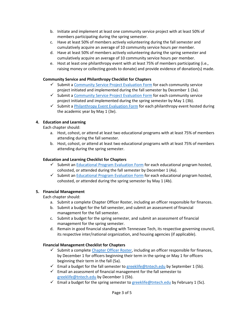- b. Initiate and implement at least one community service project with at least 50% of members participating during the spring semester.
- c. Have at least 50% of members actively volunteering during the fall semester and cumulatively acquire an average of 10 community service hours per member.
- d. Have at least 50% of members actively volunteering during the spring semester and cumulatively acquire an average of 10 community service hours per member.
- e. Host at least one philanthropy event with at least 75% of members participating (i.e., raising money or collecting goods to donate) and provide evidence of donation(s) made.

#### **Community Service and Philanthropy Checklist for Chapters**

- $\checkmark$  Submit a [Community Service Project Evaluation Form](https://tf.tntech.edu/machform/view.php?id=1152496) for each community service project initiated and implemented during the fall semester by December 1 (3a).
- $\checkmark$  Submit a [Community Service Project Evaluation Form](https://tf.tntech.edu/machform/view.php?id=1152496) for each community service project initiated and implemented during the spring semester by May 1 (3b).
- $\checkmark$  Submit a [Philanthropy Event Evaluation Form](https://tf.tntech.edu/machform/view.php?id=968304) for each philanthropy event hosted during the academic year by May 1 (3e).

#### **4. Education and Learning**

Each chapter should:

- a. Host, cohost, or attend at least two educational programs with at least 75% of members attending during the fall semester.
- b. Host, cohost, or attend at least two educational programs with at least 75% of members attending during the spring semester.

#### **Education and Learning Checklist for Chapters**

- $\checkmark$  Submit a[n Educational Program Evaluation Form](https://tf.tntech.edu/machform/view.php?id=1153031) for each educational program hosted, cohosted, or attended during the fall semester by December 1 (4a).
- $\checkmark$  Submit a[n Educational Program Evaluation Form](https://tf.tntech.edu/machform/view.php?id=1153031) for each educational program hosted, cohosted, or attended during the spring semester by May 1 (4b).

#### **5. Financial Management**

Each chapter should:

- a. Submit a complete Chapter Officer Roster, including an officer responsible for finances.
- b. Submit a budget for the fall semester, and submit an assessment of financial management for the fall semester.
- c. Submit a budget for the spring semester, and submit an assessment of financial management for the spring semester.
- d. Remain in good financial standing with Tennessee Tech, its respective governing council, its respective inter/national organization, and housing agencies (if applicable).

#### **Financial Management Checklist for Chapters**

- $\checkmark$  Submit a complet[e Chapter Officer Roster,](https://tf.tntech.edu/machform/view.php?id=972479) including an officer responsible for finances, by December 1 for officers beginning their term in the spring or May 1 for officers beginning their term in the fall (5a).
- $\checkmark$  Email a budget for the fall semester t[o greeklife@tntech.edu](mailto:greeklife@tntech.edu) by September 1 (5b).
- $\checkmark$  Email an assessment of financial management for the fall semester to [greeklife@tntech.edu](mailto:greeklife@tntech.edu) by December 1 (5b).
- Email a budget for the spring semester to [greeklife@tntech.edu](mailto:greeklife@tntech.edu) by February 1 (5c).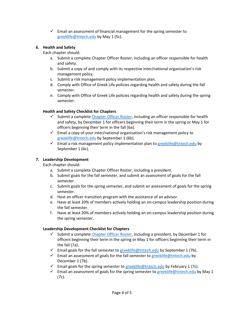$\checkmark$  Email an assessment of financial management for the spring semester to [greeklife@tntech.edu](mailto:greeklife@tntech.edu) by May 1 (5c).

#### **6. Health and Safety**

Each chapter should:

- a. Submit a complete Chapter Officer Roster, including an officer responsible for health and safety.
- b. Submit a copy of and comply with its respective inter/national organization's risk management policy.
- c. Submit a risk management policy implementation plan.
- d. Comply with Office of Greek Life policies regarding health and safety during the fall semester.
- e. Comply with Office of Greek Life policies regarding health and safety during the spring semester.

## **Health and Safety Checklist for Chapters**

- $\checkmark$  Submit a complet[e Chapter Officer Roster,](https://tf.tntech.edu/machform/view.php?id=972479) including an officer responsible for health and safety, by December 1 for officers beginning their term in the spring or May 1 for officers beginning their term in the fall (6a).
- $\checkmark$  Email a copy of your inter/national organization's risk management policy to [greeklife@tntech.edu](mailto:greeklife@tntech.edu) by September 1 (6b).
- $\checkmark$  Email a risk management policy implementation plan t[o greeklife@tntech.edu](mailto:greeklife@tntech.edu) by September 1 (6c).

# **7. Leadership Development**

Each chapter should:

- a. Submit a complete Chapter Officer Roster, including a president.
- b. Submit goals for the fall semester, and submit an assessment of goals for the fall semester.
- c. Submit goals for the spring semester, and submit an assessment of goals for the spring semester.
- d. Host an officer transition program with the assistance of an advisor.
- e. Have at least 20% of members actively holding an on-campus leadership position during the fall semester.
- f. Have at least 20% of members actively holding an on-campus leadership position during the spring semester.

## **Leadership Development Checklist for Chapters**

- $\checkmark$  Submit a complet[e Chapter Officer Roster,](https://tf.tntech.edu/machform/view.php?id=972479) including a president, by December 1 for officers beginning their term in the spring or May 1 for officers beginning their term in the fall (7a).
- $\checkmark$  Email goals for the fall semester to [greeklife@tntech.edu](mailto:greeklife@tntech.edu) by September 1 (7b).
- Email an assessment of goals for the fall semester to  $greeklife@$ tntech.edu by December 1 (7b).
- Email goals for the spring semester to [greeklife@tntech.edu](mailto:greeklife@tntech.edu) by February 1 (7c).
- $\checkmark$  Email an assessment of goals for the spring semester to [greeklife@tntech.edu](mailto:greeklife@tntech.edu) by May 1 (7c).